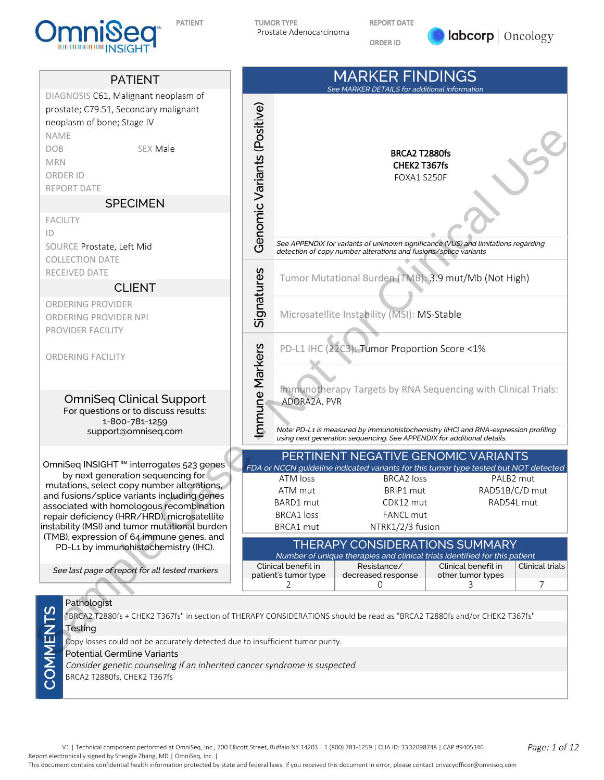

REPORT DATE

ORDER ID





BRCA2 T2880fs, CHEK2 T367fs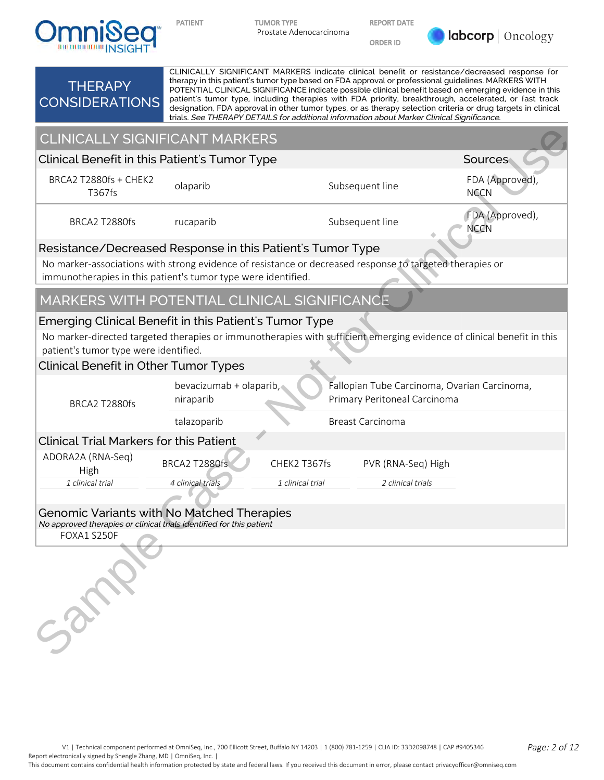

REPORT DATE

ORDER ID



#### **THERAPY** CONSIDERATIONS CLINICALLY SIGNIFICANT MARKERS indicate clinical benefit or resistance/decreased response for therapy in this patient's tumor type based on FDA approval or professional guidelines. MARKERS WITH POTENTIAL CLINICAL SIGNIFICANCE indicate possible clinical benefit based on emerging evidence in this patient's tumor type, including therapies with FDA priority, breakthrough, accelerated, or fast track designation, FDA approval in other tumor types, or as therapy selection criteria or drug targets in clinical trials. See THERAPY DETAILS for additional information about Marker Clinical Significance. CLINICALLY SIGNIFICANT MARKERS

## Resistance/Decreased Response in this Patient's Tumor Type

# MARKERS WITH POTENTIAL CLINICAL SIGNIFICANCE

## Emerging Clinical Benefit in this Patient's Tumor Type

## Clinical Benefit in Other Tumor Types

| <b>CLINICALLY SIGNIFICANT MARKERS</b>                                                                                                                                                                                                                                     |                                      |                                |                              |                                              |  |  |  |  |  |  |
|---------------------------------------------------------------------------------------------------------------------------------------------------------------------------------------------------------------------------------------------------------------------------|--------------------------------------|--------------------------------|------------------------------|----------------------------------------------|--|--|--|--|--|--|
| Clinical Benefit in this Patient's Tumor Type                                                                                                                                                                                                                             |                                      |                                |                              | Sources                                      |  |  |  |  |  |  |
| BRCA2 T2880fs + CHEK2<br>T367fs                                                                                                                                                                                                                                           | olaparib                             | FDA (Approved),<br><b>NCCN</b> |                              |                                              |  |  |  |  |  |  |
| BRCA2 T2880fs                                                                                                                                                                                                                                                             | Subsequent line<br>rucaparib         |                                |                              |                                              |  |  |  |  |  |  |
| Resistance/Decreased Response in this Patient's Tumor Type                                                                                                                                                                                                                |                                      |                                |                              |                                              |  |  |  |  |  |  |
| No marker-associations with strong evidence of resistance or decreased response to targeted therapies or<br>immunotherapies in this patient's tumor type were identified.                                                                                                 |                                      |                                |                              |                                              |  |  |  |  |  |  |
| MARKERS WITH POTENTIAL CLINICAL SIGNIFICANCE                                                                                                                                                                                                                              |                                      |                                |                              |                                              |  |  |  |  |  |  |
| Emerging Clinical Benefit in this Patient's Tumor Type<br>No marker-directed targeted therapies or immunotherapies with sufficient emerging evidence of clinical benefit in this<br>patient's tumor type were identified.<br><b>Clinical Benefit in Other Tumor Types</b> |                                      |                                |                              |                                              |  |  |  |  |  |  |
| BRCA2 T2880fs                                                                                                                                                                                                                                                             | bevacizumab + olaparib,<br>niraparib |                                | Primary Peritoneal Carcinoma | Fallopian Tube Carcinoma, Ovarian Carcinoma, |  |  |  |  |  |  |
|                                                                                                                                                                                                                                                                           | talazoparib                          |                                | <b>Breast Carcinoma</b>      |                                              |  |  |  |  |  |  |
| <b>Clinical Trial Markers for this Patient</b>                                                                                                                                                                                                                            |                                      |                                |                              |                                              |  |  |  |  |  |  |
| ADORA2A (RNA-Seq)<br>High                                                                                                                                                                                                                                                 | BRCA2 T2880fs                        | CHEK2 T367fs                   | PVR (RNA-Seq) High           |                                              |  |  |  |  |  |  |
| 1 clinical trial                                                                                                                                                                                                                                                          | 4 clinical trials                    | 1 clinical trial               | 2 clinical trials            |                                              |  |  |  |  |  |  |
| <b>Genomic Variants with No Matched Therapies</b><br>No approved therapies or clinical trials identified for this patient<br>FOXA1 S250F                                                                                                                                  |                                      |                                |                              |                                              |  |  |  |  |  |  |
| Samo                                                                                                                                                                                                                                                                      |                                      |                                |                              |                                              |  |  |  |  |  |  |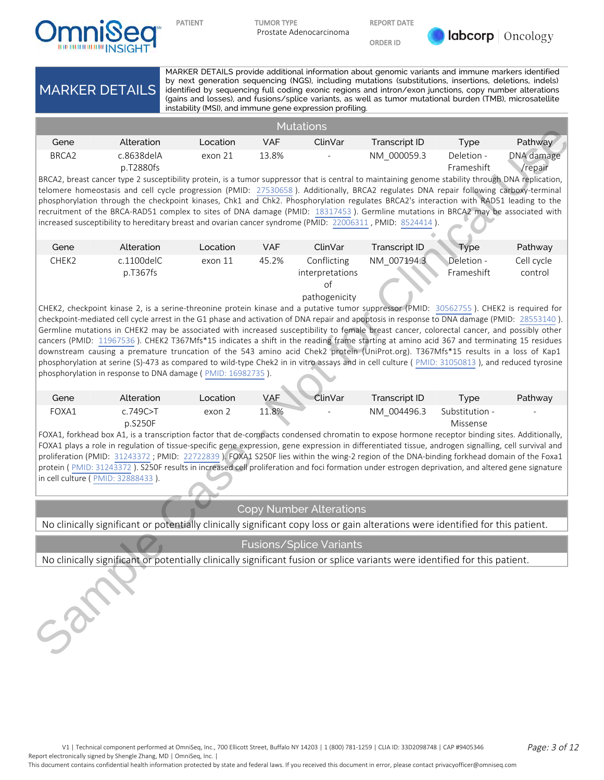

REPORT DATE

ORDER ID



MARKER DETAILS MARKER DETAILS provide additional information about genomic variants and immune markers identified by next generation sequencing (NGS), including mutations (substitutions, insertions, deletions, indels) identified by sequencing full coding exonic regions and intron/exon junctions, copy number alterations (gains and losses), and fusions/splice variants, as well as tumor mutational burden (TMB), microsatellite instability (MSI), and immune gene expression profiling. **Mutations** Gene Alteration Location VAF ClinVar Transcript ID Type Pathway BRCA2 c.8638delA p.T2880fs exon 21 13.8% - NM 000059.3 Deletion -Frameshift DNA damage /repair BRCA2, breast cancer type 2 susceptibility protein, is a tumor suppressor that is central to maintaining genome stability through DNA replication, telomere homeostasis and cell cycle progression (PMID: 27530658). Additionally, BRCA2 regulates DNA repair following carboxy-terminal phosphorylation through the checkpoint kinases, Chk1 and Chk2. Phosphorylation regulates BRCA2's interaction with RAD51 leading to the recruitment of the BRCA-RAD51 complex to sites of DNA damage (PMID: 18317453). Germline mutations in BRCA2 may be associated with increased susceptibility to hereditary breast and ovarian cancer syndrome (PMID: 22006311, PMID: 8524414) Gene Alteration Location VAF ClinVar Transcript ID Type Pathway CHEK2 c.1100delC p.T367fs exon 11 45.2% Conflicting interpretations of pathogenicity NM\_007194.3 Deletion - Frameshift Cell cycle control CHEK2, checkpoint kinase 2, is a serine-threonine protein kinase and a putative tumor suppressor (PMID: 30562755). CHEK2 is required for checkpoint-mediated cell cycle arrest in the G1 phase and activation of DNA repair and apoptosis in response to DNA damage (PMID: 28553140). Germline mutations in CHEK2 may be associated with increased susceptibility to female breast cancer, colorectal cancer, and possibly other cancers (PMID: 11967536). CHEK2 T367Mfs\*15 indicates a shift in the reading frame starting at amino acid 367 and terminating 15 residues downstream causing a premature truncation of the 543 amino acid Chek2 protein (UniProt.org). T367Mfs\*15 results in a loss of Kap1 phosphorylation at serine (S)-473 as compared to wild-type Chek2 in in vitro assays and in cell culture ( PMID: 31050813 ), and reduced tyrosine phosphorylation in response to DNA damage ( PMID: 16982735 ). Gene Alteration Location VAF ClinVar Transcript ID Type Pathway FOXA1 c.749C>T p.S250F exon 2 11.8% - NM\_004496.3 Substitution -Missense - FOXA1, forkhead box A1, is a transcription factor that de-compacts condensed chromatin to expose hormone receptor binding sites. Additionally, FOXA1 plays a role in regulation of tissue-specific gene expression, gene expression in differentiated tissue, androgen signalling, cell survival and proliferation (PMID: 31243372; PMID: 22722839). FOXA1 S250F lies within the wing-2 region of the DNA-binding forkhead domain of the Foxa1 protein ( PMID: 31243372 ). S250F results in increased cell proliferation and foci formation under estrogen deprivation, and altered gene signature in cell culture ( PMID: 32888433 ). Copy Number Alterations No clinically significant or potentially clinically significant copy loss or gain alterations were identified for this patient. Fusions/Splice Variants No clinically significant or potentially clinically significant fusion or splice variants were identified for this patient. Second consider the sample of the sample of the sample Ca[se](http://pubmed.ncbi.nlm.nih.gov/22722839/) - Note that is the sample Case - Note that the sample Case - Note that is the sample of the sample Case - Note that is the sample of the sample of the sample of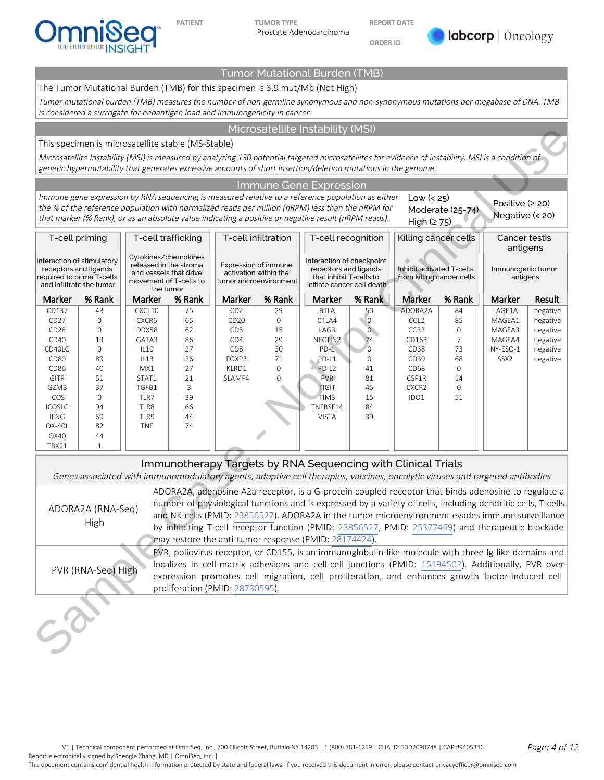

REPORT DATE

ORDER ID



### Tumor Mutational Burden (TMB)

The Tumor Mutational Burden (TMB) for this specimen is 3.9 mut/Mb (Not High)

Tumor mutational burden (TMB) measures the number of non-germline synonymous and non-synonymous mutations per megabase of DNA. TMB is considered a surrogate for neoantigen load and immunogenicity in cancer.

### Microsatellite Instability (MSI)

#### Immune Gene Expression

| Microsatellite Instability (MSI)                                                                                                                                                                                                                |                          |                                                  |          |                                                      |                        |                                                       |                  |                                                              |                     |                                                                                                                             |          |
|-------------------------------------------------------------------------------------------------------------------------------------------------------------------------------------------------------------------------------------------------|--------------------------|--------------------------------------------------|----------|------------------------------------------------------|------------------------|-------------------------------------------------------|------------------|--------------------------------------------------------------|---------------------|-----------------------------------------------------------------------------------------------------------------------------|----------|
| This specimen is microsatellite stable (MS-Stable)                                                                                                                                                                                              |                          |                                                  |          |                                                      |                        |                                                       |                  |                                                              |                     |                                                                                                                             |          |
| Microsatellite Instability (MSI) is measured by analyzing 130 potential targeted microsatellites for evidence of instability. MSI is a condition of                                                                                             |                          |                                                  |          |                                                      |                        |                                                       |                  |                                                              |                     |                                                                                                                             |          |
| genetic hypermutability that generates excessive amounts of short insertion/deletion mutations in the genome.                                                                                                                                   |                          |                                                  |          |                                                      |                        |                                                       |                  |                                                              |                     |                                                                                                                             |          |
|                                                                                                                                                                                                                                                 |                          |                                                  |          |                                                      |                        | Immune Gene Expression                                |                  |                                                              |                     |                                                                                                                             |          |
|                                                                                                                                                                                                                                                 |                          |                                                  |          |                                                      |                        |                                                       |                  | Low $(25)$                                                   |                     |                                                                                                                             |          |
| Immune gene expression by RNA sequencing is measured relative to a reference population as either<br>Positive $(2 20)$<br>the % of the reference population with normalized reads per million (nRPM) less than the nRPM for<br>Moderate (25-74) |                          |                                                  |          |                                                      |                        |                                                       |                  |                                                              |                     |                                                                                                                             |          |
| Negative (< 20)<br>that marker (% Rank), or as an absolute value indicating a positive or negative result (nRPM reads).<br>High $(≥ 75)$                                                                                                        |                          |                                                  |          |                                                      |                        |                                                       |                  |                                                              |                     |                                                                                                                             |          |
| T-cell infiltration<br>T-cell trafficking<br>T-cell recognition<br>Killing cancer cells<br>Cancer testis<br>T-cell priming                                                                                                                      |                          |                                                  |          |                                                      |                        |                                                       |                  |                                                              |                     |                                                                                                                             |          |
|                                                                                                                                                                                                                                                 | antigens                 |                                                  |          |                                                      |                        |                                                       |                  |                                                              |                     |                                                                                                                             |          |
| Interaction of stimulatory                                                                                                                                                                                                                      |                          | Cytokines/chemokines                             |          |                                                      |                        | Interaction of checkpoint                             |                  |                                                              |                     |                                                                                                                             |          |
| receptors and ligands                                                                                                                                                                                                                           |                          | released in the stroma<br>and vessels that drive |          | <b>Expression of immune</b><br>activation within the |                        | receptors and ligands                                 |                  | Inhibit activated T-cells                                    |                     | Immunogenic tumor                                                                                                           |          |
| required to prime T-cells                                                                                                                                                                                                                       | and infiltrate the tumor | movement of T-cells to                           |          |                                                      | tumor microenvironment | that inhibit T-cells to<br>initiate cancer cell death |                  | from killing cancer cells                                    |                     | antigens                                                                                                                    |          |
| Marker                                                                                                                                                                                                                                          | % Rank                   | the tumor<br>Marker                              | % Rank   | Marker                                               | % Rank                 | Marker                                                | % Rank           | Marker                                                       | % Rank              | Marker                                                                                                                      | Result   |
| CD137                                                                                                                                                                                                                                           | 43                       | CXCL10                                           | 75       | CD <sub>2</sub>                                      | 29                     | <b>BTLA</b>                                           | 50               | ADORA2A                                                      | 84                  | LAGE1A                                                                                                                      | negative |
| CD <sub>27</sub>                                                                                                                                                                                                                                | 0                        | CXCR6                                            | 65       | CD <sub>20</sub>                                     | 0                      | CTLA4                                                 | $\circ$          | CCL <sub>2</sub>                                             | 85                  | MAGEA1                                                                                                                      | negative |
| CD <sub>28</sub>                                                                                                                                                                                                                                | 0                        | DDX58                                            | 62       | CD <sub>3</sub>                                      | 15                     | LAG3                                                  | $\overline{O}$   | CCR <sub>2</sub>                                             | $\mathsf{O}\xspace$ | MAGEA3                                                                                                                      | negative |
| CD40                                                                                                                                                                                                                                            | 13                       | GATA3                                            | 86       | CD4                                                  | 29                     | NECTIN2                                               | 74               | CD163                                                        | $\overline{7}$      | MAGEA4                                                                                                                      | negative |
| CD40LG                                                                                                                                                                                                                                          | $\mathsf O$<br>89        | <b>IL10</b>                                      | 27<br>26 | CD <sub>8</sub><br>FOXP3                             | 30<br>71               | $PD-1$<br>PD-L1                                       | $\mathbf 0$<br>0 | CD38<br>CD39                                                 | 73<br>68            | NY-ESO-1<br>SSX <sub>2</sub>                                                                                                | negative |
| CD <sub>80</sub><br>CD86                                                                                                                                                                                                                        | 40                       | IL1B<br>MX1                                      | 27       | KLRD1                                                | $\mathbf{O}$           | PD-L <sub>2</sub>                                     | 41               | CD <sub>68</sub>                                             | $\mathbf 0$         |                                                                                                                             | negative |
| GITR                                                                                                                                                                                                                                            | 51                       | STAT1                                            | 21       | SLAMF4                                               | 0                      | PVR>                                                  | 81               | CSF1R                                                        | 14                  |                                                                                                                             |          |
| GZMB                                                                                                                                                                                                                                            | 37                       | TGFB1                                            | 3        |                                                      |                        | <b>TIGIT</b>                                          | 45               | CXCR <sub>2</sub>                                            | $\mathbf 0$         |                                                                                                                             |          |
| ICOS                                                                                                                                                                                                                                            | $\mathbf 0$              | TLR7                                             | 39       |                                                      |                        | TIM3                                                  | 15               | IDO1                                                         | 51                  |                                                                                                                             |          |
| <b>ICOSLG</b><br><b>IFNG</b>                                                                                                                                                                                                                    | 94<br>69                 | TLR8<br>TLR9                                     | 66<br>44 |                                                      |                        | TNFRSF14<br><b>VISTA</b>                              | 84<br>39         |                                                              |                     |                                                                                                                             |          |
| OX-40L                                                                                                                                                                                                                                          | 82                       | <b>TNF</b>                                       | 74       |                                                      |                        |                                                       |                  |                                                              |                     |                                                                                                                             |          |
| OX40                                                                                                                                                                                                                                            | 44                       |                                                  |          |                                                      |                        |                                                       |                  |                                                              |                     |                                                                                                                             |          |
| TBX21                                                                                                                                                                                                                                           | $\mathbf{1}$             |                                                  |          |                                                      |                        |                                                       |                  |                                                              |                     |                                                                                                                             |          |
|                                                                                                                                                                                                                                                 |                          |                                                  |          |                                                      |                        |                                                       |                  | Immunotherapy Targets by RNA Sequencing with Clinical Trials |                     |                                                                                                                             |          |
|                                                                                                                                                                                                                                                 |                          |                                                  |          |                                                      |                        |                                                       |                  |                                                              |                     | Genes associated with immunomodulatory agents, adoptive cell therapies, vaccines, oncolytic viruses and targeted antibodies |          |
|                                                                                                                                                                                                                                                 |                          |                                                  |          |                                                      |                        |                                                       |                  |                                                              |                     | ADORA2A, adenosine A2a receptor, is a G-protein coupled receptor that binds adenosine to regulate a                         |          |
|                                                                                                                                                                                                                                                 |                          |                                                  |          |                                                      |                        |                                                       |                  |                                                              |                     | number of physiological functions and is expressed by a variety of cells, including dendritic cells, T-cells                |          |
|                                                                                                                                                                                                                                                 | ADORA2A (RNA-Seq)        |                                                  |          |                                                      |                        |                                                       |                  |                                                              |                     | and NK-cells (PMID: 23856527). ADORA2A in the tumor microenvironment evades immune surveillance                             |          |
|                                                                                                                                                                                                                                                 | High                     |                                                  |          |                                                      |                        |                                                       |                  |                                                              |                     | by inhibiting T-cell receptor function (PMID: 23856527, PMID: 25377469) and therapeutic blockade                            |          |
|                                                                                                                                                                                                                                                 |                          |                                                  |          |                                                      |                        | may restore the anti-tumor response (PMID: 28174424). |                  |                                                              |                     |                                                                                                                             |          |
|                                                                                                                                                                                                                                                 |                          |                                                  |          |                                                      |                        |                                                       |                  |                                                              |                     | PVR, poliovirus receptor, or CD155, is an immunoglobulin-like molecule with three Ig-like domains and                       |          |
|                                                                                                                                                                                                                                                 |                          |                                                  |          |                                                      |                        |                                                       |                  |                                                              |                     | localizes in cell-matrix adhesions and cell-cell junctions (PMID: 15194502). Additionally, PVR over-                        |          |
|                                                                                                                                                                                                                                                 | PVR (RNA-Seq) High       |                                                  |          |                                                      |                        |                                                       |                  |                                                              |                     | expression promotes cell migration, cell proliferation, and enhances growth factor-induced cell                             |          |
|                                                                                                                                                                                                                                                 |                          |                                                  |          | proliferation (PMID: 28730595).                      |                        |                                                       |                  |                                                              |                     |                                                                                                                             |          |
|                                                                                                                                                                                                                                                 |                          |                                                  |          |                                                      |                        |                                                       |                  |                                                              |                     |                                                                                                                             |          |
|                                                                                                                                                                                                                                                 |                          |                                                  |          |                                                      |                        |                                                       |                  |                                                              |                     |                                                                                                                             |          |
|                                                                                                                                                                                                                                                 |                          |                                                  |          |                                                      |                        |                                                       |                  |                                                              |                     |                                                                                                                             |          |
|                                                                                                                                                                                                                                                 |                          |                                                  |          |                                                      |                        |                                                       |                  |                                                              |                     |                                                                                                                             |          |
|                                                                                                                                                                                                                                                 |                          |                                                  |          |                                                      |                        |                                                       |                  |                                                              |                     |                                                                                                                             |          |

### Immunotherapy Targets by RNA Sequencing with Clinical Trials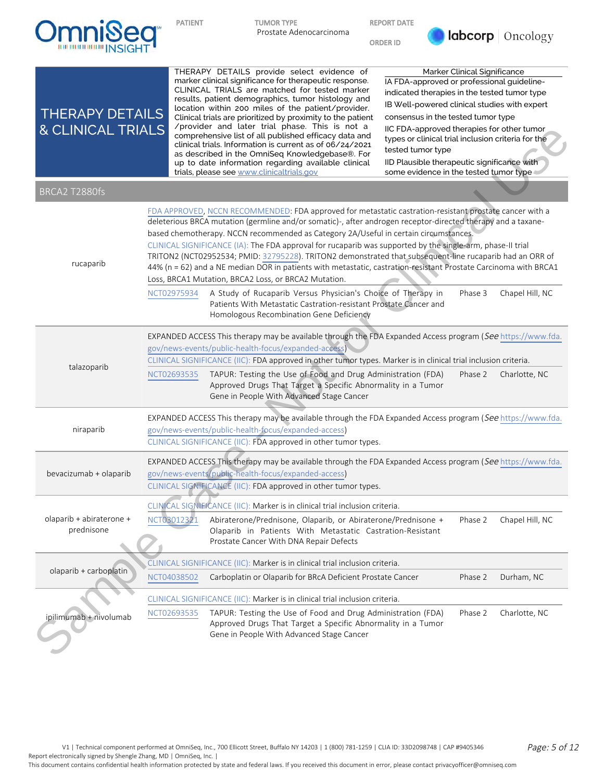

ORDER ID



| <b>THERAPY DETAILS</b><br><b>&amp; CLINICAL TRIALS</b> | THERAPY DETAILS provide select evidence of<br>marker clinical significance for therapeutic response.<br>CLINICAL TRIALS are matched for tested marker<br>results, patient demographics, tumor histology and<br>location within 200 miles of the patient/provider.<br>Clinical trials are prioritized by proximity to the patient<br>/provider and later trial phase. This is not a<br>comprehensive list of all published efficacy data and<br>clinical trials. Information is current as of 06/24/2021<br>as described in the OmniSeq Knowledgebase®. For<br>up to date information regarding available clinical<br>trials, please see www.clinicaltrials.gov                                                                                                                                                                                                                                                        | Marker Clinical Significance<br>IA FDA-approved or professional guideline-<br>indicated therapies in the tested tumor type<br>IB Well-powered clinical studies with expert<br>consensus in the tested tumor type<br>IIC FDA-approved therapies for other tumor<br>types or clinical trial inclusion criteria for the<br>tested tumor type<br>IID Plausible therapeutic significance with<br>some evidence in the tested tumor type |  |  |  |
|--------------------------------------------------------|-----------------------------------------------------------------------------------------------------------------------------------------------------------------------------------------------------------------------------------------------------------------------------------------------------------------------------------------------------------------------------------------------------------------------------------------------------------------------------------------------------------------------------------------------------------------------------------------------------------------------------------------------------------------------------------------------------------------------------------------------------------------------------------------------------------------------------------------------------------------------------------------------------------------------|------------------------------------------------------------------------------------------------------------------------------------------------------------------------------------------------------------------------------------------------------------------------------------------------------------------------------------------------------------------------------------------------------------------------------------|--|--|--|
| BRCA2 T2880fs                                          |                                                                                                                                                                                                                                                                                                                                                                                                                                                                                                                                                                                                                                                                                                                                                                                                                                                                                                                       |                                                                                                                                                                                                                                                                                                                                                                                                                                    |  |  |  |
| rucaparib                                              | FDA APPROVED, NCCN RECOMMENDED: FDA approved for metastatic castration-resistant prostate cancer with a<br>deleterious BRCA mutation (germline and/or somatic)-, after androgen receptor-directed therapy and a taxane-<br>based chemotherapy. NCCN recommended as Category 2A/Useful in certain circumstances.<br>CLINICAL SIGNIFICANCE (IA): The FDA approval for rucaparib was supported by the single-arm, phase-II trial<br>TRITON2 (NCT02952534; PMID: 32795228). TRITON2 demonstrated that subsequent-line rucaparib had an ORR of<br>44% (n = 62) and a NE median DOR in patients with metastatic, castration-resistant Prostate Carcinoma with BRCA1<br>Loss, BRCA1 Mutation, BRCA2 Loss, or BRCA2 Mutation.<br>A Study of Rucaparib Versus Physician's Choice of Therapy in<br>NCT02975934<br>Patients With Metastatic Castration-resistant Prostate Cancer and<br>Homologous Recombination Gene Deficiency | Chapel Hill, NC<br>Phase 3                                                                                                                                                                                                                                                                                                                                                                                                         |  |  |  |
| talazoparib                                            | EXPANDED ACCESS This therapy may be available through the FDA Expanded Access program (See https://www.fda.<br>gov/news-events/public-health-focus/expanded-access<br>CLINICAL SIGNIFICANCE (IIC): FDA approved in other tumor types. Marker is in clinical trial inclusion criteria.<br>TAPUR: Testing the Use of Food and Drug Administration (FDA)<br>NCT02693535<br>Approved Drugs That Target a Specific Abnormality in a Tumor<br>Gene in People With Advanced Stage Cancer                                                                                                                                                                                                                                                                                                                                                                                                                                     | Charlotte, NC<br>Phase 2                                                                                                                                                                                                                                                                                                                                                                                                           |  |  |  |
| niraparib                                              | EXPANDED ACCESS This therapy may be available through the FDA Expanded Access program (See https://www.fda.<br>gov/news-events/public-health-focus/expanded-access)<br>CLINICAL SIGNIFICANCE (IIC): FDA approved in other tumor types.                                                                                                                                                                                                                                                                                                                                                                                                                                                                                                                                                                                                                                                                                |                                                                                                                                                                                                                                                                                                                                                                                                                                    |  |  |  |
| bevacizumab + olaparib                                 | EXPANDED ACCESS This therapy may be available through the FDA Expanded Access program (See https://www.fda.<br>gov/news-events/public-health-focus/expanded-access)<br>CLINICAL SIGNIFICANCE (IIC): FDA approved in other tumor types.                                                                                                                                                                                                                                                                                                                                                                                                                                                                                                                                                                                                                                                                                |                                                                                                                                                                                                                                                                                                                                                                                                                                    |  |  |  |
| olaparib + abiraterone +<br>prednisone                 | CLINICAL SIGNIFICANCE (IIC): Marker is in clinical trial inclusion criteria.<br>NCT03012321<br>Abiraterone/Prednisone, Olaparib, or Abiraterone/Prednisone +<br>Olaparib in Patients With Metastatic Castration-Resistant<br>Prostate Cancer With DNA Repair Defects                                                                                                                                                                                                                                                                                                                                                                                                                                                                                                                                                                                                                                                  | Phase 2<br>Chapel Hill, NC                                                                                                                                                                                                                                                                                                                                                                                                         |  |  |  |
| olaparib + carboplatin                                 | CLINICAL SIGNIFICANCE (IIC): Marker is in clinical trial inclusion criteria.<br>Carboplatin or Olaparib for BRcA Deficient Prostate Cancer<br>NCT04038502                                                                                                                                                                                                                                                                                                                                                                                                                                                                                                                                                                                                                                                                                                                                                             | Phase 2<br>Durham, NC                                                                                                                                                                                                                                                                                                                                                                                                              |  |  |  |
| ipilimumab + nivolumab                                 | CLINICAL SIGNIFICANCE (IIC): Marker is in clinical trial inclusion criteria.<br>TAPUR: Testing the Use of Food and Drug Administration (FDA)<br>NCT02693535<br>Approved Drugs That Target a Specific Abnormality in a Tumor<br>Gene in People With Advanced Stage Cancer                                                                                                                                                                                                                                                                                                                                                                                                                                                                                                                                                                                                                                              | Phase 2<br>Charlotte, NC                                                                                                                                                                                                                                                                                                                                                                                                           |  |  |  |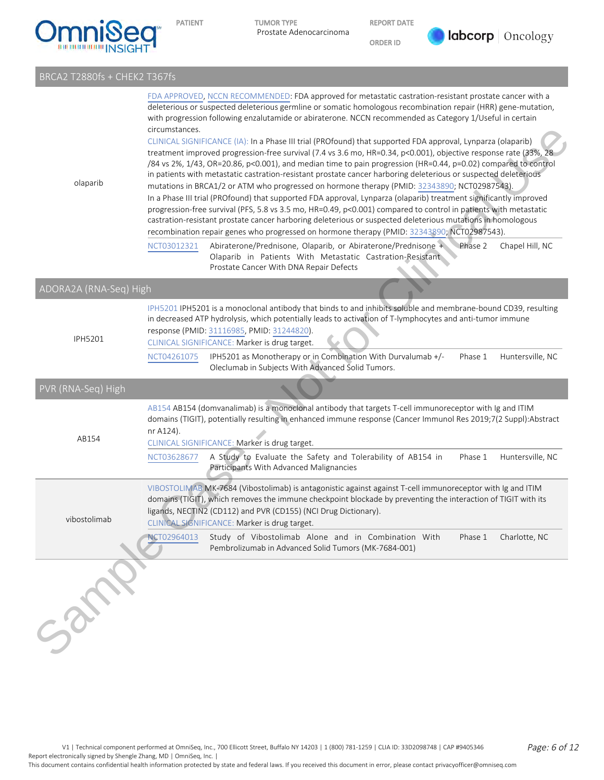

REPORT DATE

ORDER ID



## BRCA2 T2880fs + CHEK2 T367fs

| olaparib               | FDA APPROVED, NCCN RECOMMENDED: FDA approved for metastatic castration-resistant prostate cancer with a<br>deleterious or suspected deleterious germline or somatic homologous recombination repair (HRR) gene-mutation,<br>with progression following enzalutamide or abiraterone. NCCN recommended as Category 1/Useful in certain<br>circumstances.<br>CLINICAL SIGNIFICANCE (IA): In a Phase III trial (PROfound) that supported FDA approval, Lynparza (olaparib)<br>treatment improved progression-free survival (7.4 vs 3.6 mo, HR=0.34, p<0.001), objective response rate (33%, 28<br>/84 vs 2%, 1/43, OR=20.86, p<0.001), and median time to pain progression (HR=0.44, p=0.02) compared to control<br>in patients with metastatic castration-resistant prostate cancer harboring deleterious or suspected deleterious<br>mutations in BRCA1/2 or ATM who progressed on hormone therapy (PMID: 32343890; NCT02987543).<br>In a Phase III trial (PROfound) that supported FDA approval, Lynparza (olaparib) treatment significantly improved<br>progression-free survival (PFS, 5.8 vs 3.5 mo, HR=0.49, p<0.001) compared to control in patients with metastatic<br>castration-resistant prostate cancer harboring deleterious or suspected deleterious mutations in homologous<br>recombination repair genes who progressed on hormone therapy (PMID: 32343890; NCT02987543).<br>Abiraterone/Prednisone, Olaparib, or Abiraterone/Prednisone + Phase 2<br>Chapel Hill, NC<br>NCT03012321<br>Olaparib in Patients With Metastatic Castration-Resistant<br>Prostate Cancer With DNA Repair Defects |  |  |  |  |  |  |  |
|------------------------|-----------------------------------------------------------------------------------------------------------------------------------------------------------------------------------------------------------------------------------------------------------------------------------------------------------------------------------------------------------------------------------------------------------------------------------------------------------------------------------------------------------------------------------------------------------------------------------------------------------------------------------------------------------------------------------------------------------------------------------------------------------------------------------------------------------------------------------------------------------------------------------------------------------------------------------------------------------------------------------------------------------------------------------------------------------------------------------------------------------------------------------------------------------------------------------------------------------------------------------------------------------------------------------------------------------------------------------------------------------------------------------------------------------------------------------------------------------------------------------------------------------------------------------------------------------------------------------------------------------|--|--|--|--|--|--|--|
| ADORA2A (RNA-Seq) High |                                                                                                                                                                                                                                                                                                                                                                                                                                                                                                                                                                                                                                                                                                                                                                                                                                                                                                                                                                                                                                                                                                                                                                                                                                                                                                                                                                                                                                                                                                                                                                                                           |  |  |  |  |  |  |  |
| <b>IPH5201</b>         | IPH5201 IPH5201 is a monoclonal antibody that binds to and inhibits soluble and membrane-bound CD39, resulting<br>in decreased ATP hydrolysis, which potentially leads to activation of T-lymphocytes and anti-tumor immune<br>response (PMID: 31116985, PMID: 31244820).<br>CLINICAL SIGNIFICANCE: Marker is drug target.<br>IPH5201 as Monotherapy or in Combination With Durvalumab +/-<br>Phase 1<br>Huntersville, NC<br>NCT04261075<br>Oleclumab in Subjects With Advanced Solid Tumors.                                                                                                                                                                                                                                                                                                                                                                                                                                                                                                                                                                                                                                                                                                                                                                                                                                                                                                                                                                                                                                                                                                             |  |  |  |  |  |  |  |
| PVR (RNA-Seq) High     |                                                                                                                                                                                                                                                                                                                                                                                                                                                                                                                                                                                                                                                                                                                                                                                                                                                                                                                                                                                                                                                                                                                                                                                                                                                                                                                                                                                                                                                                                                                                                                                                           |  |  |  |  |  |  |  |
| AB154                  | AB154 AB154 (domvanalimab) is a monoclonal antibody that targets T-cell immunoreceptor with Ig and ITIM<br>domains (TIGIT), potentially resulting in enhanced immune response (Cancer Immunol Res 2019;7(2 Suppl):Abstract<br>nr A124).<br>CLINICAL SIGNIFICANCE: Marker is drug target.<br>A Study to Evaluate the Safety and Tolerability of AB154 in<br>Huntersville, NC<br>Phase 1<br>NCT03628677<br>Participants With Advanced Malignancies                                                                                                                                                                                                                                                                                                                                                                                                                                                                                                                                                                                                                                                                                                                                                                                                                                                                                                                                                                                                                                                                                                                                                          |  |  |  |  |  |  |  |
| vibostolimab           | VIBOSTOLIMAB MK-7684 (Vibostolimab) is antagonistic against against T-cell immunoreceptor with Ig and ITIM<br>domains (TIGIT), which removes the immune checkpoint blockade by preventing the interaction of TIGIT with its<br>ligands, NECTIN2 (CD112) and PVR (CD155) (NCI Drug Dictionary).<br>CLINICAL SIGNIFICANCE: Marker is drug target.<br>NCT02964013<br>Study of Vibostolimab Alone and in Combination With<br>Phase 1<br>Charlotte, NC<br>Pembrolizumab in Advanced Solid Tumors (MK-7684-001)                                                                                                                                                                                                                                                                                                                                                                                                                                                                                                                                                                                                                                                                                                                                                                                                                                                                                                                                                                                                                                                                                                 |  |  |  |  |  |  |  |
|                        |                                                                                                                                                                                                                                                                                                                                                                                                                                                                                                                                                                                                                                                                                                                                                                                                                                                                                                                                                                                                                                                                                                                                                                                                                                                                                                                                                                                                                                                                                                                                                                                                           |  |  |  |  |  |  |  |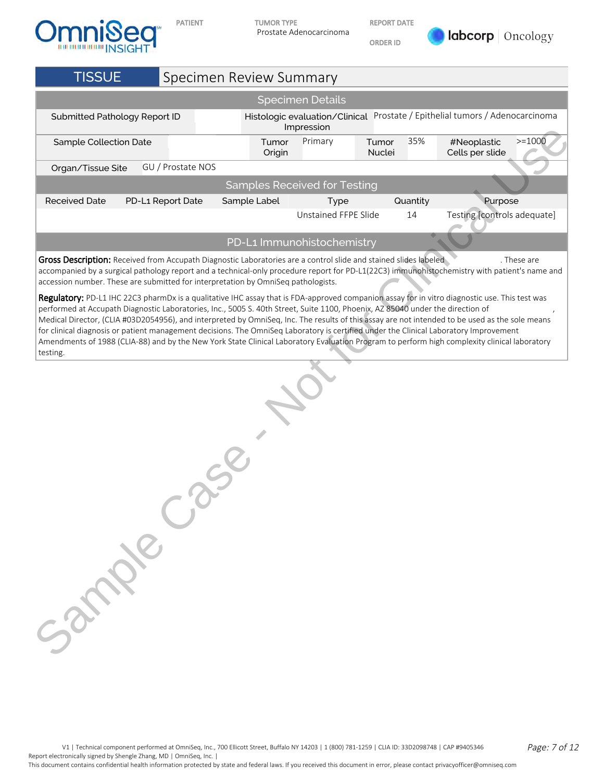



PATIENT TUMOR TYPE Prostate Adenocarcinoma REPORT DATE

ORDER ID



| <b>TISSUE</b>                                                                                                                                                                                                                                                                                                                                                                                                                                                                                                                                                                          | Specimen Review Summary |                                                                                            |                                     |                 |          |                                |             |  |  |  |
|----------------------------------------------------------------------------------------------------------------------------------------------------------------------------------------------------------------------------------------------------------------------------------------------------------------------------------------------------------------------------------------------------------------------------------------------------------------------------------------------------------------------------------------------------------------------------------------|-------------------------|--------------------------------------------------------------------------------------------|-------------------------------------|-----------------|----------|--------------------------------|-------------|--|--|--|
|                                                                                                                                                                                                                                                                                                                                                                                                                                                                                                                                                                                        |                         |                                                                                            | <b>Specimen Details</b>             |                 |          |                                |             |  |  |  |
| Submitted Pathology Report ID                                                                                                                                                                                                                                                                                                                                                                                                                                                                                                                                                          |                         | Histologic evaluation/Clinical Prostate / Epithelial tumors / Adenocarcinoma<br>Impression |                                     |                 |          |                                |             |  |  |  |
| Sample Collection Date                                                                                                                                                                                                                                                                                                                                                                                                                                                                                                                                                                 |                         | Tumor<br>Origin                                                                            | Primary                             | Tumor<br>Nuclei | 35%      | #Neoplastic<br>Cells per slide | $>=1000$    |  |  |  |
| Organ/Tissue Site                                                                                                                                                                                                                                                                                                                                                                                                                                                                                                                                                                      | GU / Prostate NOS       |                                                                                            |                                     |                 |          |                                |             |  |  |  |
|                                                                                                                                                                                                                                                                                                                                                                                                                                                                                                                                                                                        |                         |                                                                                            | <b>Samples Received for Testing</b> |                 |          |                                |             |  |  |  |
| <b>Received Date</b>                                                                                                                                                                                                                                                                                                                                                                                                                                                                                                                                                                   | PD-L1 Report Date       | Sample Label                                                                               | Type                                |                 | Quantity | Purpose                        |             |  |  |  |
|                                                                                                                                                                                                                                                                                                                                                                                                                                                                                                                                                                                        |                         |                                                                                            | Unstained FFPE Slide                |                 | 14       | Testing [controls adequate]    |             |  |  |  |
|                                                                                                                                                                                                                                                                                                                                                                                                                                                                                                                                                                                        |                         |                                                                                            | PD-L1 Immunohistochemistry          |                 |          |                                |             |  |  |  |
| Gross Description: Received from Accupath Diagnostic Laboratories are a control slide and stained slides labeled<br>accompanied by a surgical pathology report and a technical-only procedure report for PD-L1(22C3) immunohistochemistry with patient's name and<br>accession number. These are submitted for interpretation by OmniSeq pathologists.                                                                                                                                                                                                                                 |                         |                                                                                            |                                     |                 |          |                                | . These are |  |  |  |
| Regulatory: PD-L1 IHC 22C3 pharmDx is a qualitative IHC assay that is FDA-approved companion assay for in vitro diagnostic use. This test was<br>performed at Accupath Diagnostic Laboratories, Inc., 5005 S. 40th Street, Suite 1100, Phoenix, AZ 85040 under the direction of<br>Medical Director, (CLIA #03D2054956), and interpreted by OmniSeq, Inc. The results of this assay are not intended to be used as the sole means<br>for clinical diagnosis or patient management decisions. The OmniSeq Laboratory is certified under the Clinical Laboratory Improvement<br>testing. |                         |                                                                                            |                                     |                 |          |                                |             |  |  |  |
| Amendments of 1988 (CLIA-88) and by the New York State Clinical Laboratory Evaluation Program to perform high complexity clinical laboratory<br>32 Miles                                                                                                                                                                                                                                                                                                                                                                                                                               |                         |                                                                                            |                                     |                 |          |                                |             |  |  |  |

V1 | Technical component performed at OmniSeq, Inc., 700 Ellicott Street, Buffalo NY 14203 | 1 (800) 781-1259 | CLIA ID: 33D2098748 | CAP #9405346 Page: 7 of 12 Report electronically signed by Shengle Zhang, MD | OmniSeq, Inc. |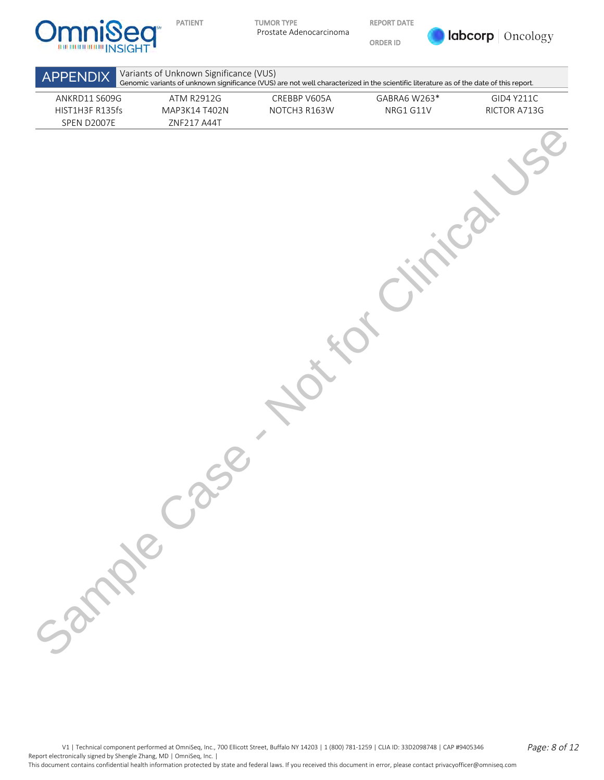

REPORT DATE

ORDER ID



| ANKRD11 S609G<br>HIST1H3F R135fs<br>SPEN D2007E | ATM R2912G<br>MAP3K14 T402N<br>ZNF217 A44T | CREBBP V605A<br>NOTCH3 R163W | GABRA6 W263*<br>NRG1 G11V | GID4 Y211C<br>RICTOR A713G |
|-------------------------------------------------|--------------------------------------------|------------------------------|---------------------------|----------------------------|
|                                                 |                                            |                              |                           |                            |
|                                                 |                                            |                              |                           |                            |
|                                                 |                                            |                              |                           |                            |
|                                                 |                                            |                              |                           |                            |
|                                                 |                                            |                              |                           |                            |
|                                                 |                                            |                              |                           |                            |
|                                                 |                                            |                              |                           |                            |
|                                                 |                                            |                              |                           |                            |
|                                                 |                                            |                              |                           |                            |
| Sample Ca                                       |                                            |                              |                           |                            |
|                                                 |                                            |                              |                           |                            |
|                                                 |                                            |                              |                           |                            |
|                                                 |                                            |                              |                           |                            |

V1 | Technical component performed at OmniSeq, Inc., 700 Ellicott Street, Buffalo NY 14203 | 1 (800) 781-1259 | CLIA ID: 33D2098748 | CAP #9405346 Page: 8 of 12 Report electronically signed by Shengle Zhang, MD | OmniSeq, Inc. |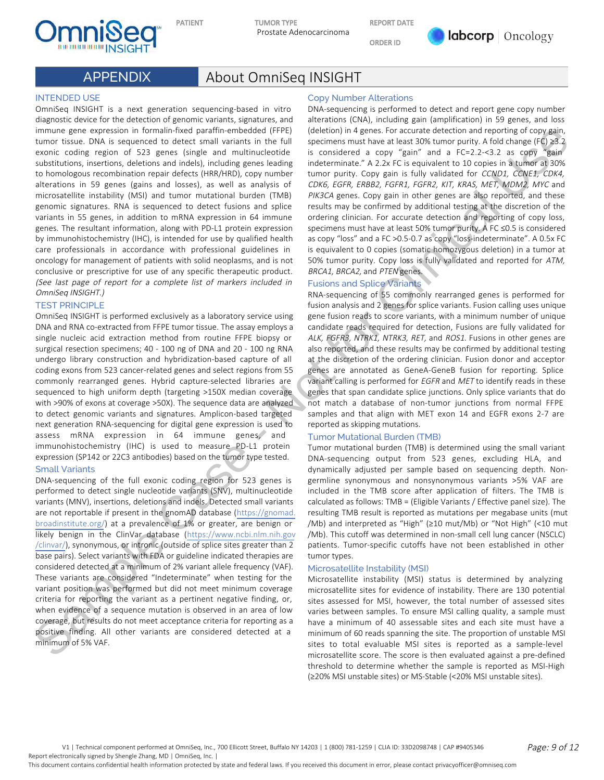

REPORT DATE

ORDER ID



# APPENDIX About OmniSeq INSIGHT

#### INTENDED USE

OmniSeq INSIGHT is a next generation sequencing-based in vitro diagnostic device for the detection of genomic variants, signatures, and immune gene expression in formalin-fixed paraffin-embedded (FFPE) tumor tissue. DNA is sequenced to detect small variants in the full exonic coding region of 523 genes (single and multinucleotide substitutions, insertions, deletions and indels), including genes leading to homologous recombination repair defects (HRR/HRD), copy number alterations in 59 genes (gains and losses), as well as analysis of microsatellite instability (MSI) and tumor mutational burden (TMB) genomic signatures. RNA is sequenced to detect fusions and splice variants in 55 genes, in addition to mRNA expression in 64 immune genes. The resultant information, along with PD-L1 protein expression by immunohistochemistry (IHC), is intended for use by qualified health care professionals in accordance with professional guidelines in oncology for management of patients with solid neoplasms, and is not conclusive or prescriptive for use of any specific therapeutic product. (See last page of report for a complete list of markers included in OmniSeq INSIGHT.)

#### TEST PRINCIPLE

OmniSeq INSIGHT is performed exclusively as a laboratory service using DNA and RNA co-extracted from FFPE tumor tissue. The assay employs a single nucleic acid extraction method from routine FFPE biopsy or surgical resection specimens; 40 - 100 ng of DNA and 20 - 100 ng RNA undergo library construction and hybridization-based capture of all coding exons from 523 cancer-related genes and select regions from 55 commonly rearranged genes. Hybrid capture-selected libraries are sequenced to high uniform depth (targeting >150X median coverage with >90% of exons at coverage >50X). The sequence data are analyzed to detect genomic variants and signatures. Amplicon-based targeted next generation RNA-sequencing for digital gene expression is used to assess mRNA expression in 64 immune genes, and immunohistochemistry (IHC) is used to measure PD-L1 protein expression (SP142 or 22C3 antibodies) based on the tumor type tested.

#### Small Variants

DNA-sequencing of the full exonic coding region for 523 genes is performed to detect single nucleotide variants (SNV), multinucleotide variants (MNV), insertions, deletions and indels. Detected small variants are not reportable if present in the gnomAD database (https://gnomad. broadinstitute.org/) at a prevalence of 1% or greater, are benign or likely benign in the ClinVar database (https://www.ncbi.nlm.nih.gov /clinvar/), synonymous, or intronic (outside of splice sites greater than 2 base pairs). Select variants with FDA or guideline indicated therapies are considered detected at a minimum of 2% variant allele frequency (VAF). These variants are considered "Indeterminate" when testing for the variant position was performed but did not meet minimum coverage criteria for reporting the variant as a pertinent negative finding, or, when evidence of a sequence mutation is observed in an area of low coverage, but results do not meet acceptance criteria for reporting as a positive finding. All other variants are considered detected at a minimum of 5% VAF. Instant process with contribute the Thermodyne case of the [C](https://www.ncbi.nlm.nih.gov/clinvar/)onservation of the Conservation of the Conservation of the Conservation of the Conservation of the Conservation of the Conservation of the Conservation of the Co

#### Copy Number Alterations

DNA-sequencing is performed to detect and report gene copy number alterations (CNA), including gain (amplification) in 59 genes, and loss (deletion) in 4 genes. For accurate detection and reporting of copy gain, specimens must have at least 30% tumor purity. A fold change (FC) ≥3.2 is considered a copy "gain" and a FC=2.2-<3.2 as copy "gain indeterminate." A 2.2x FC is equivalent to 10 copies in a tumor at 30% tumor purity. Copy gain is fully validated for CCND1, CCNE1, CDK4, CDK6, EGFR, ERBB2, FGFR1, FGFR2, KIT, KRAS, MET, MDM2, MYC and PIK3CA genes. Copy gain in other genes are also reported, and these results may be confirmed by additional testing at the discretion of the ordering clinician. For accurate detection and reporting of copy loss, specimens must have at least 50% tumor purity. A FC ≤0.5 is considered as copy "loss" and a FC >0.5-0.7 as copy "loss-indeterminate". A 0.5x FC is equivalent to 0 copies (somatic homozygous deletion) in a tumor at 50% tumor purity. Copy loss is fully validated and reported for ATM, BRCA1, BRCA2, and PTEN genes.

#### Fusions and Splice Variants

RNA-sequencing of 55 commonly rearranged genes is performed for fusion analysis and 2 genes for splice variants. Fusion calling uses unique gene fusion reads to score variants, with a minimum number of unique candidate reads required for detection, Fusions are fully validated for ALK, FGFR3, NTRK1, NTRK3, RET, and ROS1. Fusions in other genes are also reported, and these results may be confirmed by additional testing at the discretion of the ordering clinician. Fusion donor and acceptor genes are annotated as GeneA-GeneB fusion for reporting. Splice variant calling is performed for EGFR and MET to identify reads in these genes that span candidate splice junctions. Only splice variants that do not match a database of non-tumor junctions from normal FFPE samples and that align with MET exon 14 and EGFR exons 2-7 are reported as skipping mutations.

#### Tumor Mutational Burden (TMB)

Tumor mutational burden (TMB) is determined using the small variant DNA-sequencing output from 523 genes, excluding HLA, and dynamically adjusted per sample based on sequencing depth. Nongermline synonymous and nonsynonymous variants >5% VAF are included in the TMB score after application of filters. The TMB is calculated as follows: TMB = (Eligible Variants / Effective panel size). The resulting TMB result is reported as mutations per megabase units (mut /Mb) and interpreted as "High" (≥10 mut/Mb) or "Not High" (<10 mut /Mb). This cutoff was determined in non-small cell lung cancer (NSCLC) patients. Tumor-specific cutoffs have not been established in other tumor types.

#### Microsatellite Instability (MSI)

Microsatellite instability (MSI) status is determined by analyzing microsatellite sites for evidence of instability. There are 130 potential sites assessed for MSI, however, the total number of assessed sites varies between samples. To ensure MSI calling quality, a sample must have a minimum of 40 assessable sites and each site must have a minimum of 60 reads spanning the site. The proportion of unstable MSI sites to total evaluable MSI sites is reported as a sample-level microsatellite score. The score is then evaluated against a pre-defined threshold to determine whether the sample is reported as MSI-High (≥20% MSI unstable sites) or MS-Stable (<20% MSI unstable sites).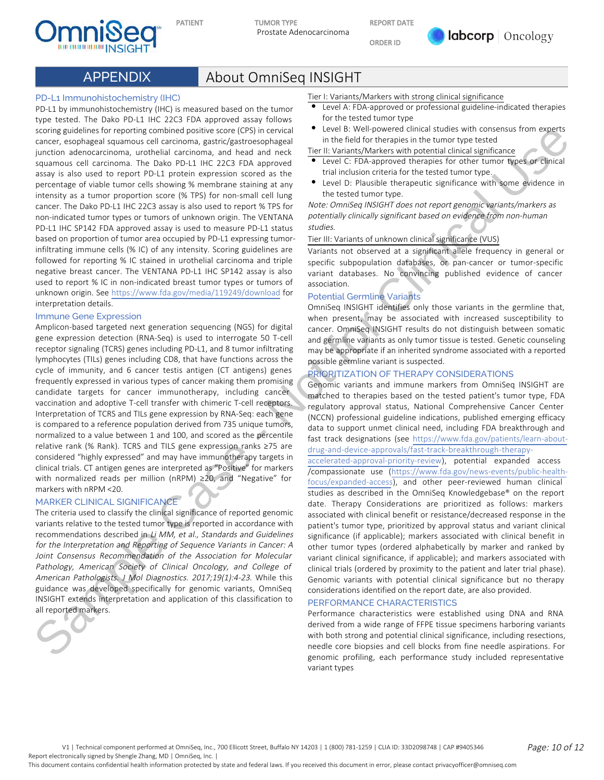

REPORT DATE

ORDER ID



# APPENDIX About OmniSeq INSIGHT

#### PD-L1 Immunohistochemistry (IHC)

PD-L1 by immunohistochemistry (IHC) is measured based on the tumor type tested. The Dako PD-L1 IHC 22C3 FDA approved assay follows scoring guidelines for reporting combined positive score (CPS) in cervical cancer, esophageal squamous cell carcinoma, gastric/gastroesophageal junction adenocarcinoma, urothelial carcinoma, and head and neck squamous cell carcinoma. The Dako PD-L1 IHC 22C3 FDA approved assay is also used to report PD-L1 protein expression scored as the percentage of viable tumor cells showing % membrane staining at any intensity as a tumor proportion score (% TPS) for non-small cell lung cancer. The Dako PD-L1 IHC 22C3 assay is also used to report % TPS for non-indicated tumor types or tumors of unknown origin. The VENTANA PD-L1 IHC SP142 FDA approved assay is used to measure PD-L1 status based on proportion of tumor area occupied by PD-L1 expressing tumorinfiltrating immune cells (% IC) of any intensity. Scoring guidelines are followed for reporting % IC stained in urothelial carcinoma and triple negative breast cancer. The VENTANA PD-L1 IHC SP142 assay is also used to report % IC in non-indicated breast tumor types or tumors of unknown origin. See https://www.fda.gov/media/119249/download for interpretation details. Solution by two transformation of the two states in the two states in the two states of the two states of the two states of the two states of the two states of the two states of the two states of the two states of the tw

#### Immune Gene Expression

Amplicon-based targeted next generation sequencing (NGS) for digital gene expression detection (RNA-Seq) is used to interrogate 50 T-cell receptor signaling (TCRS) genes including PD-L1, and 8 tumor infiltrating lymphocytes (TILs) genes including CD8, that have functions across the cycle of immunity, and 6 cancer testis antigen (CT antigens) genes frequently expressed in various types of cancer making them promising candidate targets for cancer immunotherapy, including cancer vaccination and adoptive T-cell transfer with chimeric T-cell receptors. Interpretation of TCRS and TILs gene expression by RNA-Seq: each gene is compared to a reference population derived from 735 unique tumors, normalized to a value between 1 and 100, and scored as the percentile relative rank (% Rank). TCRS and TILS gene expression ranks ≥75 are considered "highly expressed" and may have immunotherapy targets in clinical trials. CT antigen genes are interpreted as "Positive" for markers with normalized reads per million (nRPM) ≥20, and "Negative" for markers with nRPM <20.

#### MARKER CLINICAL SIGNIFICANCE

The criteria used to classify the clinical significance of reported genomic variants relative to the tested tumor type is reported in accordance with recommendations described in Li MM, et al., Standards and Guidelines for the Interpretation and Reporting of Sequence Variants in Cancer: A Joint Consensus Recommendation of the Association for Molecular Pathology, American Society of Clinical Oncology, and College of American Pathologists. J Mol Diagnostics. 2017;19(1):4-23. While this guidance was developed specifically for genomic variants, OmniSeq INSIGHT extends interpretation and application of this classification to all reported markers.



Tier I: Variants/Markers with strong clinical significance

- Level A: FDA-approved or professional guideline-indicated therapies for the tested tumor type
- Level B: Well-powered clinical studies with consensus from experts in the field for therapies in the tumor type tested

Tier II: Variants/Markers with potential clinical significance

- Level C: FDA-approved therapies for other tumor types or clinical trial inclusion criteria for the tested tumor type.
- Level D: Plausible therapeutic significance with some evidence in the tested tumor type.

Note: OmniSeq INSIGHT does not report genomic variants/markers as potentially clinically significant based on evidence from non-human studies.

Tier III: Variants of unknown clinical significance (VUS)

Variants not observed at a significant allele frequency in general or specific subpopulation databases, or pan-cancer or tumor-specific variant databases. No convincing published evidence of cancer association.

#### Potential Germline Variants

OmniSeq INSIGHT identifies only those variants in the germline that, when present, may be associated with increased susceptibility to cancer. OmniSeq INSIGHT results do not distinguish between somatic and germline variants as only tumor tissue is tested. Genetic counseling may be appropriate if an inherited syndrome associated with a reported possible germline variant is suspected.

#### PRIORITIZATION OF THERAPY CONSIDERATIONS

Genomic variants and immune markers from OmniSeq INSIGHT are matched to therapies based on the tested patient's tumor type, FDA regulatory approval status, National Comprehensive Cancer Center (NCCN) professional guideline indications, published emerging efficacy data to support unmet clinical need, including FDA breakthrough and fast track designations (see https://www.fda.gov/patients/learn-aboutdrug-and-device-approvals/fast-track-breakthrough-therapy-

accelerated-approval-priority-review), potential expanded access /compassionate use (https://www.fda.gov/news-events/public-healthfocus/expanded-access), and other peer-reviewed human clinical studies as described in the OmniSeq Knowledgebase® on the report date. Therapy Considerations are prioritized as follows: markers associated with clinical benefit or resistance/decreased response in the patient's tumor type, prioritized by approval status and variant clinical significance (if applicable); markers associated with clinical benefit in other tumor types (ordered alphabetically by marker and ranked by variant clinical significance, if applicable); and markers associated with clinical trials (ordered by proximity to the patient and later trial phase). Genomic variants with potential clinical significance but no therapy considerations identified on the report date, are also provided.

#### PERFORMANCE CHARACTERISTICS

Performance characteristics were established using DNA and RNA derived from a wide range of FFPE tissue specimens harboring variants with both strong and potential clinical significance, including resections, needle core biopsies and cell blocks from fine needle aspirations. For genomic profiling, each performance study included representative variant types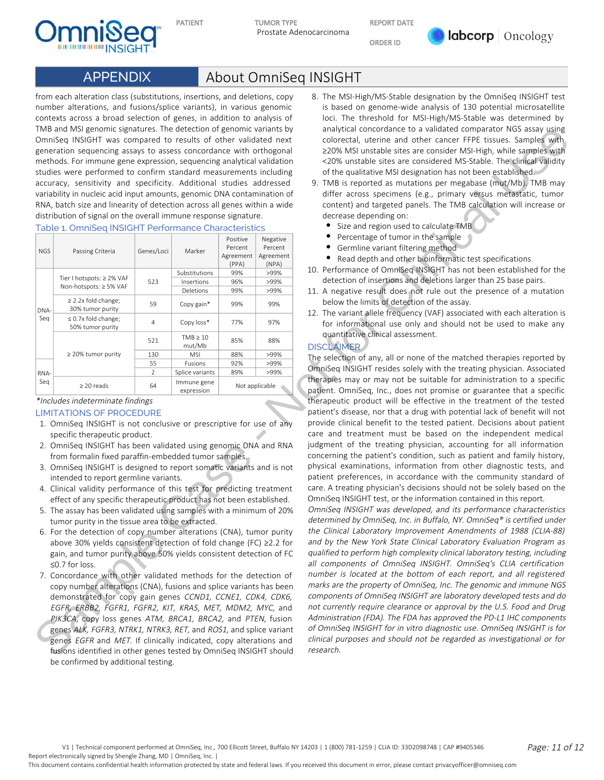



REPORT DATE

ORDER ID



# APPENDIX About OmniSeq INSIGHT

from each alteration class (substitutions, insertions, and deletions, copy number alterations, and fusions/splice variants), in various genomic contexts across a broad selection of genes, in addition to analysis of TMB and MSI genomic signatures. The detection of genomic variants by OmniSeq INSIGHT was compared to results of other validated next generation sequencing assays to assess concordance with orthogonal methods. For immune gene expression, sequencing analytical validation studies were performed to confirm standard measurements including accuracy, sensitivity and specificity. Additional studies addressed variability in nucleic acid input amounts, genomic DNA contamination of RNA, batch size and linearity of detection across all genes within a wide distribution of signal on the overall immune response signature.

| Table 1. OmniSeq INSIGHT Performance Characteristics |  |
|------------------------------------------------------|--|
|------------------------------------------------------|--|

|            | TMB and MSI genomic signatures. The detection of genomic variants by<br>OmniSeq INSIGHT was compared to results of other validated next<br>generation sequencing assays to assess concordance with orthogonal<br>methods. For immune gene expression, sequencing analytical validation<br>studies were performed to confirm standard measurements including<br>accuracy, sensitivity and specificity. Additional studies addressed<br>variability in nucleic acid input amounts, genomic DNA contamination of<br>RNA, batch size and linearity of detection across all genes within a wide<br>distribution of signal on the overall immune response signature.                                                                                                                                                                                                                                                                                                                                                                                                                                                                                                                                                                                                                                                                                                                                   |                |                             |                                           |                                           | analytical concordance to a validated comparator NGS assay using<br>colorectal, uterine and other cancer FFPE tissues. Samples with<br>≥20% MSI unstable sites are consider MSI-High, while samples with<br><20% unstable sites are considered MS-Stable. The clinical validity<br>of the qualitative MSI designation has not been established.<br>9. TMB is reported as mutations per megabase (mut/Mb). TMB may<br>differ across specimens (e.g., primary versus metastatic, tumor<br>content) and targeted panels. The TMB calculation will increase or<br>decrease depending on:                                                                                                                                                                                                                                                                                                                                                                                                                                                                                                                                                                                                                                                                                                                                                                                                                                                                                                                                                                                                                                                     |
|------------|--------------------------------------------------------------------------------------------------------------------------------------------------------------------------------------------------------------------------------------------------------------------------------------------------------------------------------------------------------------------------------------------------------------------------------------------------------------------------------------------------------------------------------------------------------------------------------------------------------------------------------------------------------------------------------------------------------------------------------------------------------------------------------------------------------------------------------------------------------------------------------------------------------------------------------------------------------------------------------------------------------------------------------------------------------------------------------------------------------------------------------------------------------------------------------------------------------------------------------------------------------------------------------------------------------------------------------------------------------------------------------------------------|----------------|-----------------------------|-------------------------------------------|-------------------------------------------|------------------------------------------------------------------------------------------------------------------------------------------------------------------------------------------------------------------------------------------------------------------------------------------------------------------------------------------------------------------------------------------------------------------------------------------------------------------------------------------------------------------------------------------------------------------------------------------------------------------------------------------------------------------------------------------------------------------------------------------------------------------------------------------------------------------------------------------------------------------------------------------------------------------------------------------------------------------------------------------------------------------------------------------------------------------------------------------------------------------------------------------------------------------------------------------------------------------------------------------------------------------------------------------------------------------------------------------------------------------------------------------------------------------------------------------------------------------------------------------------------------------------------------------------------------------------------------------------------------------------------------------|
|            | Table 1. OmniSeq INSIGHT Performance Characteristics                                                                                                                                                                                                                                                                                                                                                                                                                                                                                                                                                                                                                                                                                                                                                                                                                                                                                                                                                                                                                                                                                                                                                                                                                                                                                                                                             |                |                             |                                           |                                           | Size and region used to calculate TMB<br>٠                                                                                                                                                                                                                                                                                                                                                                                                                                                                                                                                                                                                                                                                                                                                                                                                                                                                                                                                                                                                                                                                                                                                                                                                                                                                                                                                                                                                                                                                                                                                                                                               |
| <b>NGS</b> | Passing Criteria                                                                                                                                                                                                                                                                                                                                                                                                                                                                                                                                                                                                                                                                                                                                                                                                                                                                                                                                                                                                                                                                                                                                                                                                                                                                                                                                                                                 | Genes/Loci     | Marker                      | Positive<br>Percent<br>Agreement<br>(PPA) | Negative<br>Percent<br>Agreement<br>(NPA) | Percentage of tumor in the sample<br>• Germline variant filtering method<br>Read depth and other bioinformatic test specifications<br>٠                                                                                                                                                                                                                                                                                                                                                                                                                                                                                                                                                                                                                                                                                                                                                                                                                                                                                                                                                                                                                                                                                                                                                                                                                                                                                                                                                                                                                                                                                                  |
|            | Tier I hotspots: ≥ 2% VAF<br>Non-hotspots: ≥ 5% VAF                                                                                                                                                                                                                                                                                                                                                                                                                                                                                                                                                                                                                                                                                                                                                                                                                                                                                                                                                                                                                                                                                                                                                                                                                                                                                                                                              | 523            | Substitutions<br>Insertions | 99%<br>96%                                | >99%<br>>99%                              | 10. Performance of OmniSeq INSIGHT has not been established for the<br>detection of insertions and deletions larger than 25 base pairs.                                                                                                                                                                                                                                                                                                                                                                                                                                                                                                                                                                                                                                                                                                                                                                                                                                                                                                                                                                                                                                                                                                                                                                                                                                                                                                                                                                                                                                                                                                  |
| DNA-       | $\geq$ 2.2x fold change;<br>30% tumor purity                                                                                                                                                                                                                                                                                                                                                                                                                                                                                                                                                                                                                                                                                                                                                                                                                                                                                                                                                                                                                                                                                                                                                                                                                                                                                                                                                     | 59             | Deletions<br>Copy gain*     | 99%<br>99%                                | >99%<br>99%                               | 11. A negative result does not rule out the presence of a mutation<br>below the limits of detection of the assay.                                                                                                                                                                                                                                                                                                                                                                                                                                                                                                                                                                                                                                                                                                                                                                                                                                                                                                                                                                                                                                                                                                                                                                                                                                                                                                                                                                                                                                                                                                                        |
| Seq        | $\leq$ 0.7x fold change;<br>50% tumor purity                                                                                                                                                                                                                                                                                                                                                                                                                                                                                                                                                                                                                                                                                                                                                                                                                                                                                                                                                                                                                                                                                                                                                                                                                                                                                                                                                     | $\overline{4}$ | Copy loss*                  | 77%                                       | 97%                                       | 12. The variant allele frequency (VAF) associated with each alteration is<br>for informational use only and should not be used to make any<br>quantitative clinical assessment.                                                                                                                                                                                                                                                                                                                                                                                                                                                                                                                                                                                                                                                                                                                                                                                                                                                                                                                                                                                                                                                                                                                                                                                                                                                                                                                                                                                                                                                          |
|            |                                                                                                                                                                                                                                                                                                                                                                                                                                                                                                                                                                                                                                                                                                                                                                                                                                                                                                                                                                                                                                                                                                                                                                                                                                                                                                                                                                                                  | 521            | $TMB \geq 10$<br>mut/Mb     | 85%                                       | 88%                                       | <b>DISCLAIMER</b>                                                                                                                                                                                                                                                                                                                                                                                                                                                                                                                                                                                                                                                                                                                                                                                                                                                                                                                                                                                                                                                                                                                                                                                                                                                                                                                                                                                                                                                                                                                                                                                                                        |
|            | $\geq$ 20% tumor purity                                                                                                                                                                                                                                                                                                                                                                                                                                                                                                                                                                                                                                                                                                                                                                                                                                                                                                                                                                                                                                                                                                                                                                                                                                                                                                                                                                          | 130<br>55      | <b>MSI</b><br>Fusions       | 88%<br>92%                                | >99%<br>>99%                              | The selection of any, all or none of the matched therapies reported by                                                                                                                                                                                                                                                                                                                                                                                                                                                                                                                                                                                                                                                                                                                                                                                                                                                                                                                                                                                                                                                                                                                                                                                                                                                                                                                                                                                                                                                                                                                                                                   |
| RNA-       |                                                                                                                                                                                                                                                                                                                                                                                                                                                                                                                                                                                                                                                                                                                                                                                                                                                                                                                                                                                                                                                                                                                                                                                                                                                                                                                                                                                                  | $\overline{2}$ | Splice variants             | 89%                                       | >99%                                      | OmniSeq INSIGHT resides solely with the treating physician. Associated                                                                                                                                                                                                                                                                                                                                                                                                                                                                                                                                                                                                                                                                                                                                                                                                                                                                                                                                                                                                                                                                                                                                                                                                                                                                                                                                                                                                                                                                                                                                                                   |
| Seq        | $\geq$ 20 reads                                                                                                                                                                                                                                                                                                                                                                                                                                                                                                                                                                                                                                                                                                                                                                                                                                                                                                                                                                                                                                                                                                                                                                                                                                                                                                                                                                                  | 64             | Immune gene<br>expression   |                                           | Not applicable                            | therapies may or may not be suitable for administration to a specific<br>patient. OmniSeq, Inc., does not promise or guarantee that a specific                                                                                                                                                                                                                                                                                                                                                                                                                                                                                                                                                                                                                                                                                                                                                                                                                                                                                                                                                                                                                                                                                                                                                                                                                                                                                                                                                                                                                                                                                           |
|            | <b>LIMITATIONS OF PROCEDURE</b><br>1. OmniSeq INSIGHT is not conclusive or prescriptive for use of any<br>specific therapeutic product.<br>2. OmniSeq INSIGHT has been validated using genomic DNA and RNA<br>from formalin fixed paraffin-embedded tumor samples.<br>3. OmniSeq INSIGHT is designed to report somatic variants and is not<br>intended to report germline variants.<br>4. Clinical validity performance of this test for predicting treatment<br>effect of any specific therapeutic product has not been established.<br>5. The assay has been validated using samples with a minimum of 20%<br>tumor purity in the tissue area to be extracted.<br>6. For the detection of copy number alterations (CNA), tumor purity<br>above 30% yields consistent detection of fold change (FC) $\geq$ 2.2 for<br>gain, and tumor purity above 50% yields consistent detection of FC<br>$\leq$ 0.7 for loss.<br>7. Concordance with other validated methods for the detection of<br>copy number alterations (CNA), fusions and splice variants has been<br>demonstrated for copy gain genes CCND1, CCNE1, CDK4, CDK6,<br>EGFR, ERBB2, FGFR1, FGFR2, KIT, KRAS, MET, MDM2, MYC, and<br>PIK3CA, copy loss genes ATM, BRCA1, BRCA2, and PTEN, fusion<br>genes ALK, FGFR3, NTRK1, NTRK3, RET, and ROS1, and splice variant<br>genes EGFR and MET. If clinically indicated, copy alterations and |                |                             |                                           |                                           | patient's disease, nor that a drug with potential lack of benefit will not<br>provide clinical benefit to the tested patient. Decisions about patient<br>care and treatment must be based on the independent medical<br>judgment of the treating physician, accounting for all information<br>concerning the patient's condition, such as patient and family history,<br>physical examinations, information from other diagnostic tests, and<br>patient preferences, in accordance with the community standard of<br>care. A treating physician's decisions should not be solely based on the<br>OmniSeq INSIGHT test, or the information contained in this report.<br>OmniSeq INSIGHT was developed, and its performance characteristics<br>determined by OmniSeq, Inc. in Buffalo, NY. OmniSeq® is certified under<br>the Clinical Laboratory Improvement Amendments of 1988 (CLIA-88)<br>and by the New York State Clinical Laboratory Evaluation Program as<br>qualified to perform high complexity clinical laboratory testing, including<br>all components of OmniSeq INSIGHT. OmniSeq's CLIA certification<br>number is located at the bottom of each report, and all registered<br>marks are the property of OmniSeq, Inc. The genomic and immune NGS<br>components of OmniSeq INSIGHT are laboratory developed tests and do<br>not currently require clearance or approval by the U.S. Food and Drug<br>Administration (FDA). The FDA has approved the PD-L1 IHC components<br>of OmniSeq INSIGHT for in vitro diagnostic use. OmniSeq INSIGHT is for<br>clinical purposes and should not be regarded as investigational or for |

#### LIMITATIONS OF PROCEDURE

- 1. OmniSeq INSIGHT is not conclusive or prescriptive for use of any specific therapeutic product.
- 2. OmniSeq INSIGHT has been validated using genomic DNA and RNA from formalin fixed paraffin-embedded tumor samples.
- 3. OmniSeq INSIGHT is designed to report somatic variants and is not intended to report germline variants.
- 4. Clinical validity performance of this test for predicting treatment effect of any specific therapeutic product has not been established.
- 5. The assay has been validated using samples with a minimum of 20% tumor purity in the tissue area to be extracted.
- 6. For the detection of copy number alterations (CNA), tumor purity above 30% yields consistent detection of fold change (FC) ≥2.2 for gain, and tumor purity above 50% yields consistent detection of FC ≤0.7 for loss.
- 7. Concordance with other validated methods for the detection of copy number alterations (CNA), fusions and splice variants has been demonstrated for copy gain genes CCND1, CCNE1, CDK4, CDK6, EGFR, ERBB2, FGFR1, FGFR2, KIT, KRAS, MET, MDM2, MYC, and PIK3CA, copy loss genes ATM, BRCA1, BRCA2, and PTEN, fusion genes ALK, FGFR3, NTRK1, NTRK3, RET, and ROS1, and splice variant genes EGFR and MET. If clinically indicated, copy alterations and fusions identified in other genes tested by OmniSeq INSIGHT should be confirmed by additional testing.
- 8. The MSI-High/MS-Stable designation by the OmniSeq INSIGHT test is based on genome-wide analysis of 130 potential microsatellite loci. The threshold for MSI-High/MS-Stable was determined by analytical concordance to a validated comparator NGS assay using colorectal, uterine and other cancer FFPE tissues. Samples with ≥20% MSI unstable sites are consider MSI-High, while samples with <20% unstable sites are considered MS-Stable. The clinical validity of the qualitative MSI designation has not been established.
- 9. TMB is reported as mutations per megabase (mut/Mb). TMB may differ across specimens (e.g., primary versus metastatic, tumor content) and targeted panels. The TMB calculation will increase or decrease depending on:
	- Size and region used to calculate TMB
	- Percentage of tumor in the sample
	- Germline variant filtering method
	- Read depth and other bioinformatic test specifications
- 10. Performance of OmniSeq INSIGHT has not been established for the detection of insertions and deletions larger than 25 base pairs.
- 11. A negative result does not rule out the presence of a mutation below the limits of detection of the assay.
- 12. The variant allele frequency (VAF) associated with each alteration is for informational use only and should not be used to make any quantitative clinical assessment.

#### **DISCLAIMER**

V1 | Technical component performed at OmniSeq, Inc., 700 Ellicott Street, Buffalo NY 14203 | 1 (800) 781-1259 | CLIA ID: 33D2098748 | CAP #9405346 Page: 11 of 12 Report electronically signed by Shengle Zhang, MD | OmniSeq, Inc. | This document contains confidential health information protected by state and federal laws. If you received this document in error, please contact privacyofficer@omniseq.com